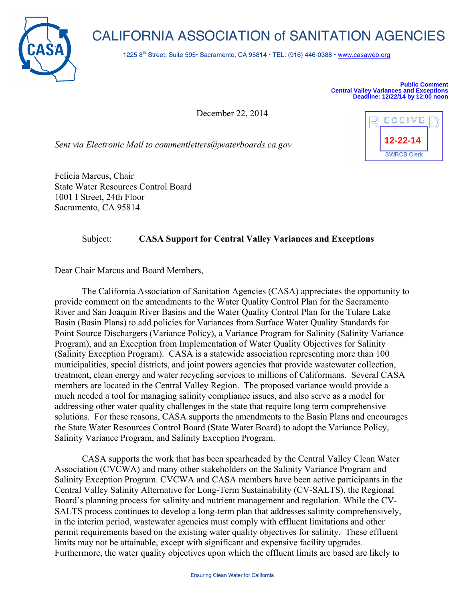

## CALIFORNIA ASSOCIATION of SANITATION AGENCIES

1225 8<sup>th</sup> Street, Suite 595• Sacramento, CA 95814 • TEL: (916) 446-0388 • www.casaweb.org

**Public Comment Central Valley Variances and Exceptions Deadline: 12/22/14 by 12:00 noon**

**12-22-14**

**SWRCB Clerk** 

ECEIVE

December 22, 2014

*Sent via Electronic Mail to commentletters@waterboards.ca.gov*

Felicia Marcus, Chair State Water Resources Control Board 1001 I Street, 24th Floor Sacramento, CA 95814

## Subject: **CASA Support for Central Valley Variances and Exceptions**

Dear Chair Marcus and Board Members,

The California Association of Sanitation Agencies (CASA) appreciates the opportunity to provide comment on the amendments to the Water Quality Control Plan for the Sacramento River and San Joaquin River Basins and the Water Quality Control Plan for the Tulare Lake Basin (Basin Plans) to add policies for Variances from Surface Water Quality Standards for Point Source Dischargers (Variance Policy), a Variance Program for Salinity (Salinity Variance Program), and an Exception from Implementation of Water Quality Objectives for Salinity (Salinity Exception Program). CASA is a statewide association representing more than 100 municipalities, special districts, and joint powers agencies that provide wastewater collection, treatment, clean energy and water recycling services to millions of Californians. Several CASA members are located in the Central Valley Region. The proposed variance would provide a much needed a tool for managing salinity compliance issues, and also serve as a model for addressing other water quality challenges in the state that require long term comprehensive solutions. For these reasons, CASA supports the amendments to the Basin Plans and encourages the State Water Resources Control Board (State Water Board) to adopt the Variance Policy, Salinity Variance Program, and Salinity Exception Program.

CASA supports the work that has been spearheaded by the Central Valley Clean Water Association (CVCWA) and many other stakeholders on the Salinity Variance Program and Salinity Exception Program. CVCWA and CASA members have been active participants in the Central Valley Salinity Alternative for Long-Term Sustainability (CV-SALTS), the Regional Board's planning process for salinity and nutrient management and regulation. While the CV-SALTS process continues to develop a long-term plan that addresses salinity comprehensively, in the interim period, wastewater agencies must comply with effluent limitations and other permit requirements based on the existing water quality objectives for salinity. These effluent limits may not be attainable, except with significant and expensive facility upgrades. Furthermore, the water quality objectives upon which the effluent limits are based are likely to